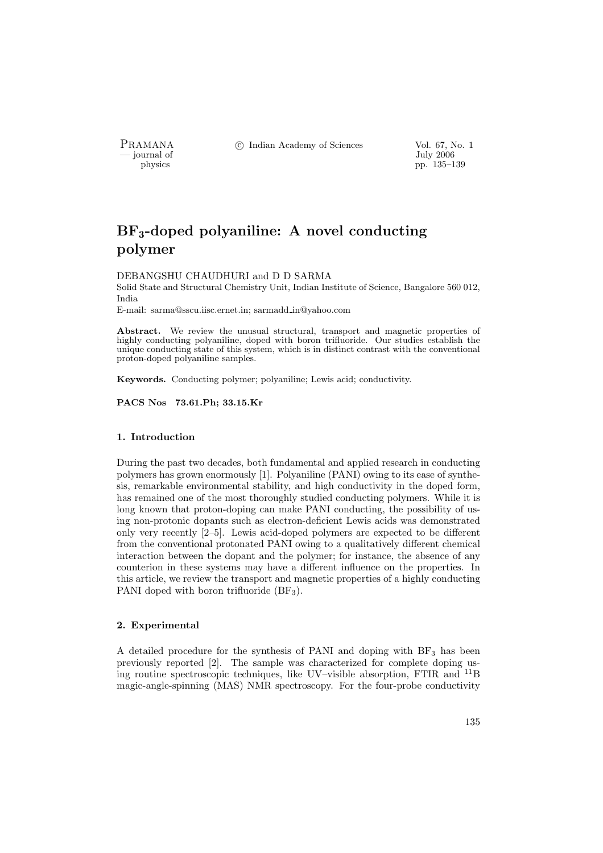PRAMANA °c Indian Academy of Sciences Vol. 67, No. 1

physics and the set of the set of the set of the set of the set of the set of the set of the set of the set of the set of the set of the set of the set of the set of the set of the set of the set of the set of the set of t pp. 135–139

# BF3-doped polyaniline: A novel conducting polymer

#### DEBANGSHU CHAUDHURI and D D SARMA

Solid State and Structural Chemistry Unit, Indian Institute of Science, Bangalore 560 012, India

E-mail: sarma@sscu.iisc.ernet.in; sarmadd in@yahoo.com

Abstract. We review the unusual structural, transport and magnetic properties of highly conducting polyaniline, doped with boron trifluoride. Our studies establish the unique conducting state of this system, which is in distinct contrast with the conventional proton-doped polyaniline samples.

Keywords. Conducting polymer; polyaniline; Lewis acid; conductivity.

PACS Nos 73.61.Ph; 33.15.Kr

### 1. Introduction

During the past two decades, both fundamental and applied research in conducting polymers has grown enormously [1]. Polyaniline (PANI) owing to its ease of synthesis, remarkable environmental stability, and high conductivity in the doped form, has remained one of the most thoroughly studied conducting polymers. While it is long known that proton-doping can make PANI conducting, the possibility of using non-protonic dopants such as electron-deficient Lewis acids was demonstrated only very recently [2–5]. Lewis acid-doped polymers are expected to be different from the conventional protonated PANI owing to a qualitatively different chemical interaction between the dopant and the polymer; for instance, the absence of any counterion in these systems may have a different influence on the properties. In this article, we review the transport and magnetic properties of a highly conducting PANI doped with boron trifluoride (BF<sub>3</sub>).

## 2. Experimental

A detailed procedure for the synthesis of PANI and doping with  $BF_3$  has been previously reported [2]. The sample was characterized for complete doping using routine spectroscopic techniques, like UV–visible absorption, FTIR and <sup>11</sup>B magic-angle-spinning (MAS) NMR spectroscopy. For the four-probe conductivity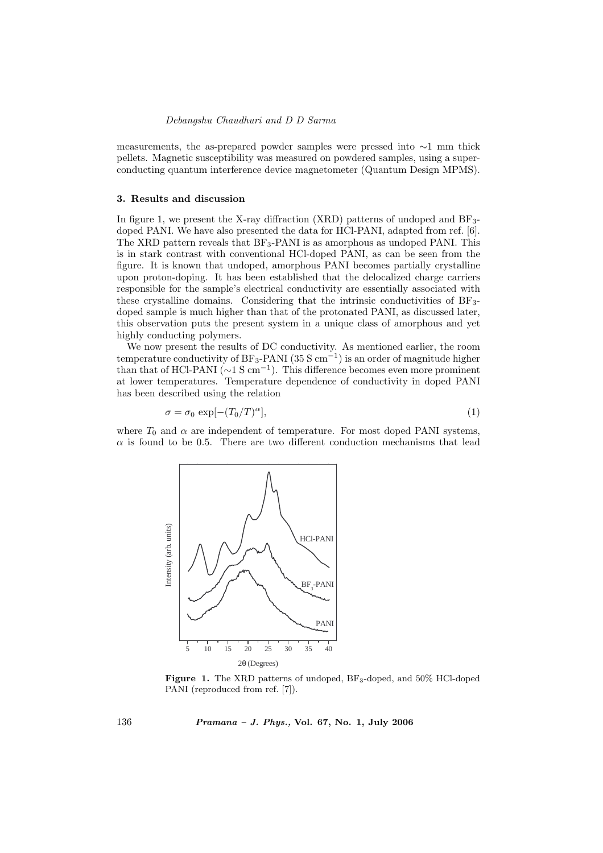#### Debangshu Chaudhuri and D D Sarma

measurements, the as-prepared powder samples were pressed into ∼1 mm thick pellets. Magnetic susceptibility was measured on powdered samples, using a superconducting quantum interference device magnetometer (Quantum Design MPMS).

#### 3. Results and discussion

In figure 1, we present the X-ray diffraction (XRD) patterns of undoped and  $BF_{3-}$ doped PANI. We have also presented the data for HCl-PANI, adapted from ref. [6]. The XRD pattern reveals that  $BF_3$ -PANI is as amorphous as undoped PANI. This is in stark contrast with conventional HCl-doped PANI, as can be seen from the figure. It is known that undoped, amorphous PANI becomes partially crystalline upon proton-doping. It has been established that the delocalized charge carriers responsible for the sample's electrical conductivity are essentially associated with these crystalline domains. Considering that the intrinsic conductivities of BF3 doped sample is much higher than that of the protonated PANI, as discussed later, this observation puts the present system in a unique class of amorphous and yet highly conducting polymers.

We now present the results of DC conductivity. As mentioned earlier, the room temperature conductivity of BF<sub>3</sub>-PANI (35 S cm<sup>-1</sup>) is an order of magnitude higher than that of HCl-PANI ( $\sim$ 1 S cm<sup>-1</sup>). This difference becomes even more prominent at lower temperatures. Temperature dependence of conductivity in doped PANI has been described using the relation

$$
\sigma = \sigma_0 \, \exp[-(T_0/T)^\alpha],\tag{1}
$$

where  $T_0$  and  $\alpha$  are independent of temperature. For most doped PANI systems,  $\alpha$  is found to be 0.5. There are two different conduction mechanisms that lead



Figure 1. The XRD patterns of undoped, BF<sub>3</sub>-doped, and 50% HCl-doped PANI (reproduced from ref. [7]).

136 Pramana – J. Phys., Vol. 67, No. 1, July 2006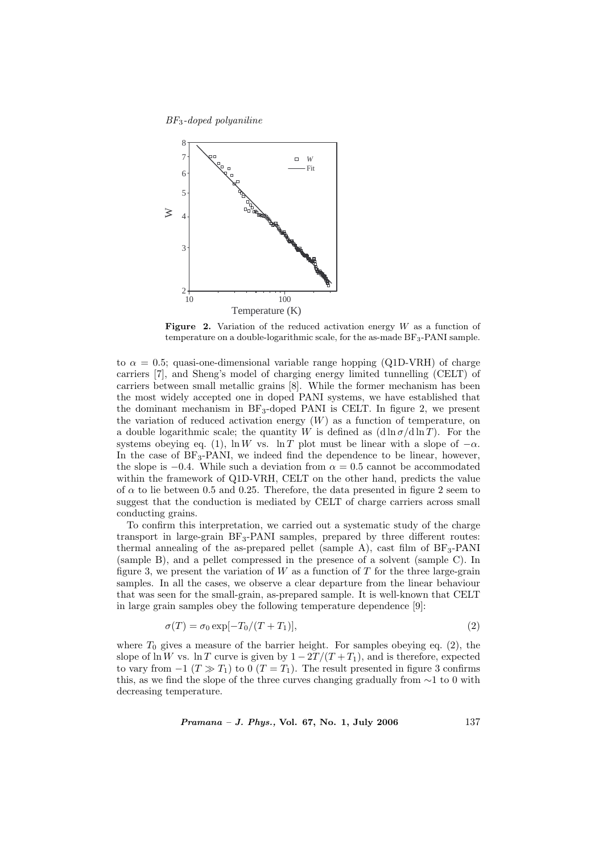#### BF3-doped polyaniline



Figure 2. Variation of the reduced activation energy  $W$  as a function of temperature on a double-logarithmic scale, for the as-made BF<sub>3</sub>-PANI sample.

to  $\alpha = 0.5$ ; quasi-one-dimensional variable range hopping (Q1D-VRH) of charge carriers [7], and Sheng's model of charging energy limited tunnelling (CELT) of carriers between small metallic grains [8]. While the former mechanism has been the most widely accepted one in doped PANI systems, we have established that the dominant mechanism in  $BF_3$ -doped PANI is CELT. In figure 2, we present the variation of reduced activation energy  $(W)$  as a function of temperature, on a double logarithmic scale; the quantity W is defined as  $(d \ln \sigma/d \ln T)$ . For the systems obeying eq. (1), ln W vs. ln T plot must be linear with a slope of  $-\alpha$ . In the case of  $BF_3$ -PANI, we indeed find the dependence to be linear, however, the slope is  $-0.4$ . While such a deviation from  $\alpha = 0.5$  cannot be accommodated within the framework of Q1D-VRH, CELT on the other hand, predicts the value of  $\alpha$  to lie between 0.5 and 0.25. Therefore, the data presented in figure 2 seem to suggest that the conduction is mediated by CELT of charge carriers across small conducting grains.

To confirm this interpretation, we carried out a systematic study of the charge transport in large-grain  $BF_3-PANI$  samples, prepared by three different routes: thermal annealing of the as-prepared pellet (sample A), cast film of  $BF_3-PANI$ (sample B), and a pellet compressed in the presence of a solvent (sample C). In figure 3, we present the variation of  $W$  as a function of  $T$  for the three large-grain samples. In all the cases, we observe a clear departure from the linear behaviour that was seen for the small-grain, as-prepared sample. It is well-known that CELT in large grain samples obey the following temperature dependence [9]:

$$
\sigma(T) = \sigma_0 \exp[-T_0/(T+T_1)],\tag{2}
$$

where  $T_0$  gives a measure of the barrier height. For samples obeying eq. (2), the slope of ln W vs. ln T curve is given by  $1 - 2T/(T + T_1)$ , and is therefore, expected to vary from  $-1$  ( $T \gg T_1$ ) to 0 ( $T = T_1$ ). The result presented in figure 3 confirms this, as we find the slope of the three curves changing gradually from  $\sim$ 1 to 0 with decreasing temperature.

 $Pramana - J. Phys., Vol. 67, No. 1, July 2006$  137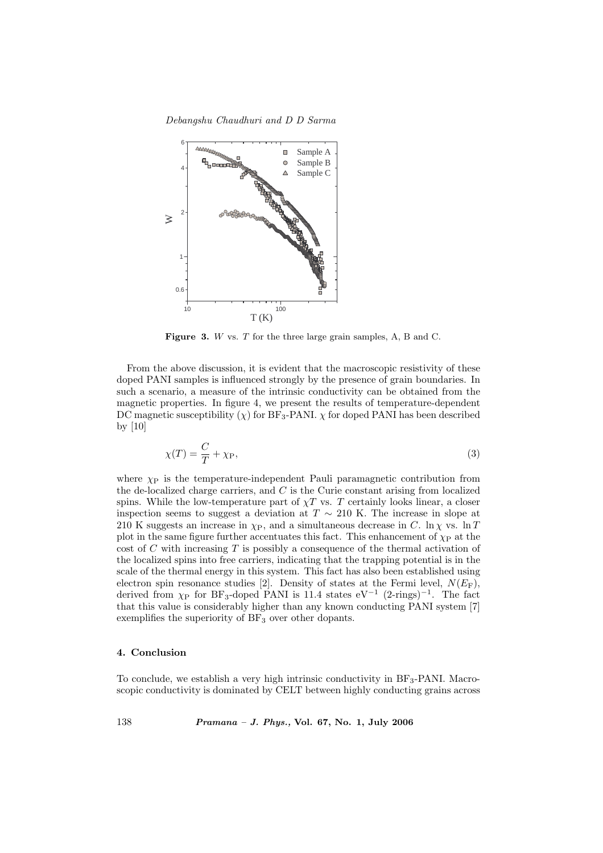Debangshu Chaudhuri and D D Sarma



Figure 3. W vs. T for the three large grain samples, A, B and C.

From the above discussion, it is evident that the macroscopic resistivity of these doped PANI samples is influenced strongly by the presence of grain boundaries. In such a scenario, a measure of the intrinsic conductivity can be obtained from the magnetic properties. In figure 4, we present the results of temperature-dependent DC magnetic susceptibility  $(\chi)$  for BF<sub>3</sub>-PANI.  $\chi$  for doped PANI has been described by [10]

$$
\chi(T) = \frac{C}{T} + \chi_{\rm P},\tag{3}
$$

where  $\chi_{\rm P}$  is the temperature-independent Pauli paramagnetic contribution from the de-localized charge carriers, and C is the Curie constant arising from localized spins. While the low-temperature part of  $\chi T$  vs. T certainly looks linear, a closer inspection seems to suggest a deviation at  $T \sim 210$  K. The increase in slope at 210 K suggests an increase in  $\chi_{\rm P}$ , and a simultaneous decrease in C. ln  $\chi$  vs. ln T plot in the same figure further accentuates this fact. This enhancement of  $\chi_{\rm P}$  at the cost of  $C$  with increasing  $T$  is possibly a consequence of the thermal activation of the localized spins into free carriers, indicating that the trapping potential is in the scale of the thermal energy in this system. This fact has also been established using electron spin resonance studies [2]. Density of states at the Fermi level,  $N(E_{\rm F})$ , derived from  $\chi_{\rm P}$  for BF<sub>3</sub>-doped PANI is 11.4 states eV<sup>-1</sup> (2-rings)<sup>-1</sup>. The fact that this value is considerably higher than any known conducting PANI system [7] exemplifies the superiority of  $BF<sub>3</sub>$  over other dopants.

#### 4. Conclusion

To conclude, we establish a very high intrinsic conductivity in  $BF_3$ -PANI. Macroscopic conductivity is dominated by CELT between highly conducting grains across

138 Pramana – J. Phys., Vol. 67, No. 1, July 2006